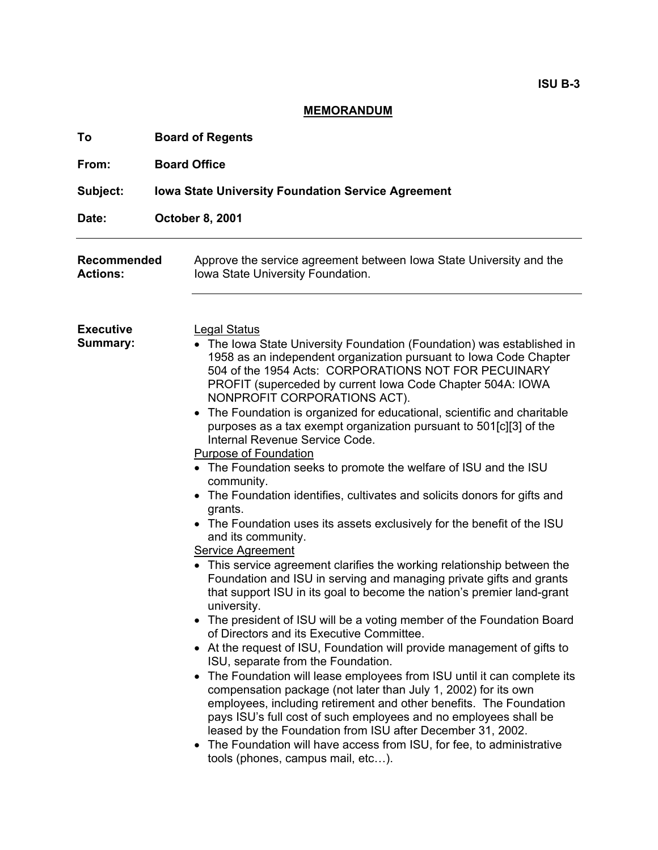## **MEMORANDUM**

| To                             | <b>Board of Regents</b>                                                                                                                                                                                                                                                                                                                                                                                                                                                                                                                                                                                                                                                                                                                                                                                                                                                                                                                                                                                                                                                                                                                                                                                                                                                                                                                                                                                                                                                                                                                                                                                                                                                                                                                                                                                        |
|--------------------------------|----------------------------------------------------------------------------------------------------------------------------------------------------------------------------------------------------------------------------------------------------------------------------------------------------------------------------------------------------------------------------------------------------------------------------------------------------------------------------------------------------------------------------------------------------------------------------------------------------------------------------------------------------------------------------------------------------------------------------------------------------------------------------------------------------------------------------------------------------------------------------------------------------------------------------------------------------------------------------------------------------------------------------------------------------------------------------------------------------------------------------------------------------------------------------------------------------------------------------------------------------------------------------------------------------------------------------------------------------------------------------------------------------------------------------------------------------------------------------------------------------------------------------------------------------------------------------------------------------------------------------------------------------------------------------------------------------------------------------------------------------------------------------------------------------------------|
| From:                          | <b>Board Office</b>                                                                                                                                                                                                                                                                                                                                                                                                                                                                                                                                                                                                                                                                                                                                                                                                                                                                                                                                                                                                                                                                                                                                                                                                                                                                                                                                                                                                                                                                                                                                                                                                                                                                                                                                                                                            |
| Subject:                       | <b>Iowa State University Foundation Service Agreement</b>                                                                                                                                                                                                                                                                                                                                                                                                                                                                                                                                                                                                                                                                                                                                                                                                                                                                                                                                                                                                                                                                                                                                                                                                                                                                                                                                                                                                                                                                                                                                                                                                                                                                                                                                                      |
| Date:                          | <b>October 8, 2001</b>                                                                                                                                                                                                                                                                                                                                                                                                                                                                                                                                                                                                                                                                                                                                                                                                                                                                                                                                                                                                                                                                                                                                                                                                                                                                                                                                                                                                                                                                                                                                                                                                                                                                                                                                                                                         |
| Recommended<br><b>Actions:</b> | Approve the service agreement between Iowa State University and the<br>Iowa State University Foundation.                                                                                                                                                                                                                                                                                                                                                                                                                                                                                                                                                                                                                                                                                                                                                                                                                                                                                                                                                                                                                                                                                                                                                                                                                                                                                                                                                                                                                                                                                                                                                                                                                                                                                                       |
| <b>Executive</b><br>Summary:   | <b>Legal Status</b><br>• The Iowa State University Foundation (Foundation) was established in<br>1958 as an independent organization pursuant to Iowa Code Chapter<br>504 of the 1954 Acts: CORPORATIONS NOT FOR PECUINARY<br>PROFIT (superceded by current lowa Code Chapter 504A: IOWA<br>NONPROFIT CORPORATIONS ACT).<br>• The Foundation is organized for educational, scientific and charitable<br>purposes as a tax exempt organization pursuant to 501[c][3] of the<br>Internal Revenue Service Code.<br><b>Purpose of Foundation</b><br>• The Foundation seeks to promote the welfare of ISU and the ISU<br>community.<br>The Foundation identifies, cultivates and solicits donors for gifts and<br>grants.<br>• The Foundation uses its assets exclusively for the benefit of the ISU<br>and its community.<br><b>Service Agreement</b><br>This service agreement clarifies the working relationship between the<br>Foundation and ISU in serving and managing private gifts and grants<br>that support ISU in its goal to become the nation's premier land-grant<br>university.<br>• The president of ISU will be a voting member of the Foundation Board<br>of Directors and its Executive Committee.<br>At the request of ISU, Foundation will provide management of gifts to<br>ISU, separate from the Foundation.<br>The Foundation will lease employees from ISU until it can complete its<br>$\bullet$<br>compensation package (not later than July 1, 2002) for its own<br>employees, including retirement and other benefits. The Foundation<br>pays ISU's full cost of such employees and no employees shall be<br>leased by the Foundation from ISU after December 31, 2002.<br>The Foundation will have access from ISU, for fee, to administrative<br>tools (phones, campus mail, etc). |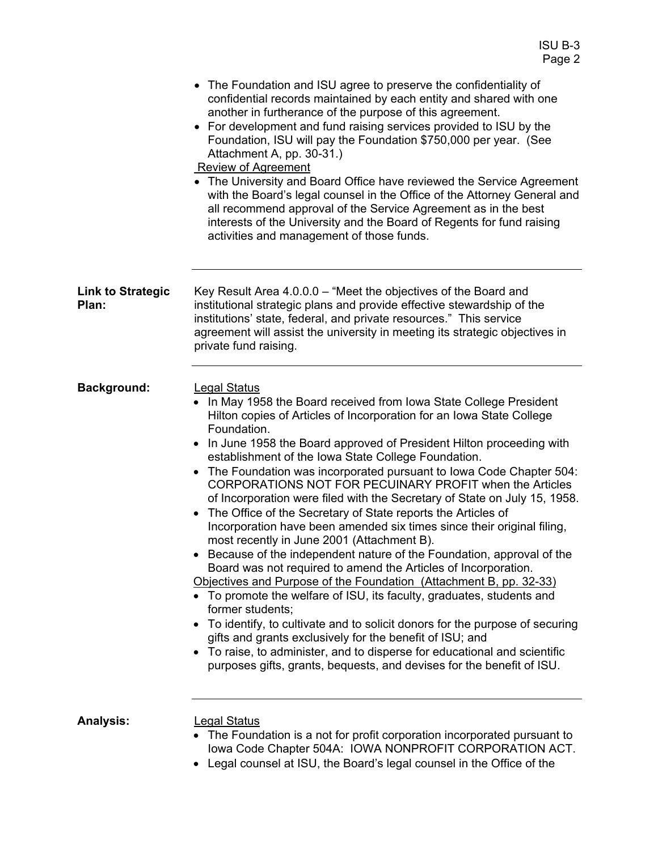|                                   | Page 2                                                                                                                                                                                                                                                                                                                                                                                                                                                                                                                                                                                                                                                                                                                                                                                                                                                                                                                                                                                                                                                                                                                                                                                                                                                                                                                                                   |
|-----------------------------------|----------------------------------------------------------------------------------------------------------------------------------------------------------------------------------------------------------------------------------------------------------------------------------------------------------------------------------------------------------------------------------------------------------------------------------------------------------------------------------------------------------------------------------------------------------------------------------------------------------------------------------------------------------------------------------------------------------------------------------------------------------------------------------------------------------------------------------------------------------------------------------------------------------------------------------------------------------------------------------------------------------------------------------------------------------------------------------------------------------------------------------------------------------------------------------------------------------------------------------------------------------------------------------------------------------------------------------------------------------|
|                                   | The Foundation and ISU agree to preserve the confidentiality of<br>٠<br>confidential records maintained by each entity and shared with one<br>another in furtherance of the purpose of this agreement.<br>For development and fund raising services provided to ISU by the<br>$\bullet$<br>Foundation, ISU will pay the Foundation \$750,000 per year. (See<br>Attachment A, pp. 30-31.)<br><b>Review of Agreement</b><br>• The University and Board Office have reviewed the Service Agreement                                                                                                                                                                                                                                                                                                                                                                                                                                                                                                                                                                                                                                                                                                                                                                                                                                                          |
|                                   | with the Board's legal counsel in the Office of the Attorney General and<br>all recommend approval of the Service Agreement as in the best<br>interests of the University and the Board of Regents for fund raising<br>activities and management of those funds.                                                                                                                                                                                                                                                                                                                                                                                                                                                                                                                                                                                                                                                                                                                                                                                                                                                                                                                                                                                                                                                                                         |
| <b>Link to Strategic</b><br>Plan: | Key Result Area 4.0.0.0 – "Meet the objectives of the Board and<br>institutional strategic plans and provide effective stewardship of the<br>institutions' state, federal, and private resources." This service<br>agreement will assist the university in meeting its strategic objectives in<br>private fund raising.                                                                                                                                                                                                                                                                                                                                                                                                                                                                                                                                                                                                                                                                                                                                                                                                                                                                                                                                                                                                                                  |
| <b>Background:</b>                | <b>Legal Status</b><br>In May 1958 the Board received from Iowa State College President<br>Hilton copies of Articles of Incorporation for an Iowa State College<br>Foundation.<br>In June 1958 the Board approved of President Hilton proceeding with<br>establishment of the Iowa State College Foundation.<br>The Foundation was incorporated pursuant to Iowa Code Chapter 504:<br>$\bullet$<br>CORPORATIONS NOT FOR PECUINARY PROFIT when the Articles<br>of Incorporation were filed with the Secretary of State on July 15, 1958.<br>The Office of the Secretary of State reports the Articles of<br>Incorporation have been amended six times since their original filing,<br>most recently in June 2001 (Attachment B).<br>Because of the independent nature of the Foundation, approval of the<br>Board was not required to amend the Articles of Incorporation.<br>Objectives and Purpose of the Foundation (Attachment B, pp. 32-33)<br>• To promote the welfare of ISU, its faculty, graduates, students and<br>former students;<br>To identify, to cultivate and to solicit donors for the purpose of securing<br>gifts and grants exclusively for the benefit of ISU; and<br>To raise, to administer, and to disperse for educational and scientific<br>$\bullet$<br>purposes gifts, grants, bequests, and devises for the benefit of ISU. |
| <b>Analysis:</b>                  | <b>Legal Status</b><br>The Foundation is a not for profit corporation incorporated pursuant to<br>Iowa Code Chapter 504A: IOWA NONPROFIT CORPORATION ACT.<br>Legal counsel at ISU, the Board's legal counsel in the Office of the                                                                                                                                                                                                                                                                                                                                                                                                                                                                                                                                                                                                                                                                                                                                                                                                                                                                                                                                                                                                                                                                                                                        |

ISU B-3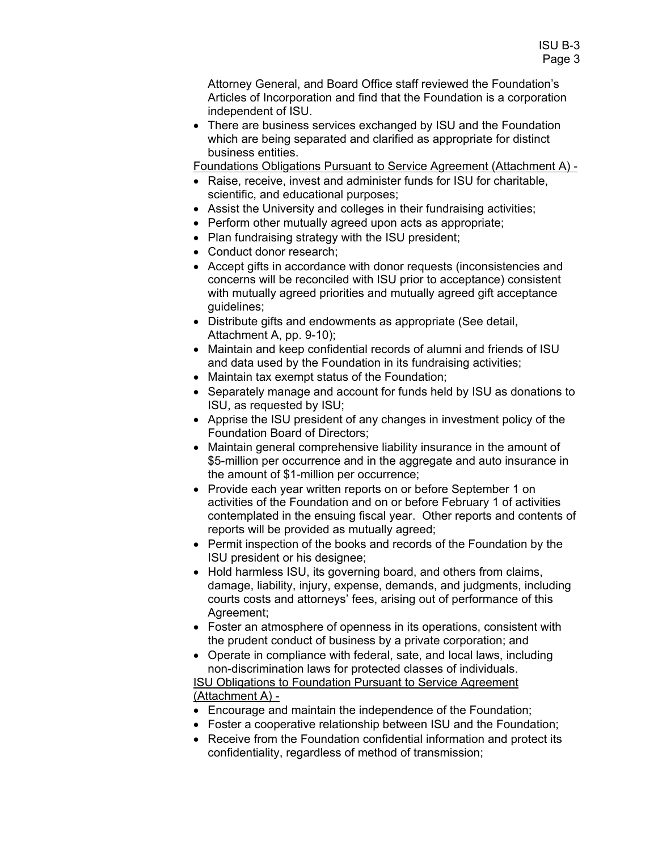Attorney General, and Board Office staff reviewed the Foundation's Articles of Incorporation and find that the Foundation is a corporation independent of ISU.

• There are business services exchanged by ISU and the Foundation which are being separated and clarified as appropriate for distinct business entities.

Foundations Obligations Pursuant to Service Agreement (Attachment A) -

- Raise, receive, invest and administer funds for ISU for charitable, scientific, and educational purposes;
- Assist the University and colleges in their fundraising activities;
- Perform other mutually agreed upon acts as appropriate;
- Plan fundraising strategy with the ISU president;
- Conduct donor research:
- Accept gifts in accordance with donor requests (inconsistencies and concerns will be reconciled with ISU prior to acceptance) consistent with mutually agreed priorities and mutually agreed gift acceptance guidelines;
- Distribute gifts and endowments as appropriate (See detail, Attachment A, pp. 9-10);
- Maintain and keep confidential records of alumni and friends of ISU and data used by the Foundation in its fundraising activities;
- Maintain tax exempt status of the Foundation;
- Separately manage and account for funds held by ISU as donations to ISU, as requested by ISU;
- Apprise the ISU president of any changes in investment policy of the Foundation Board of Directors;
- Maintain general comprehensive liability insurance in the amount of \$5-million per occurrence and in the aggregate and auto insurance in the amount of \$1-million per occurrence;
- Provide each year written reports on or before September 1 on activities of the Foundation and on or before February 1 of activities contemplated in the ensuing fiscal year. Other reports and contents of reports will be provided as mutually agreed;
- Permit inspection of the books and records of the Foundation by the ISU president or his designee;
- Hold harmless ISU, its governing board, and others from claims, damage, liability, injury, expense, demands, and judgments, including courts costs and attorneys' fees, arising out of performance of this Agreement;
- Foster an atmosphere of openness in its operations, consistent with the prudent conduct of business by a private corporation; and
- Operate in compliance with federal, sate, and local laws, including non-discrimination laws for protected classes of individuals. ISU Obligations to Foundation Pursuant to Service Agreement (Attachment A) -
- Encourage and maintain the independence of the Foundation;
- Foster a cooperative relationship between ISU and the Foundation;
- Receive from the Foundation confidential information and protect its confidentiality, regardless of method of transmission;